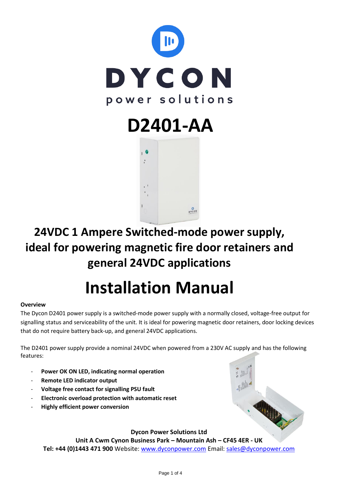

# **D2401-AA**



# **24VDC 1 Ampere Switched-mode power supply, ideal for powering magnetic fire door retainers and general 24VDC applications**

# **Installation Manual**

## **Overview**

The Dycon D2401 power supply is a switched-mode power supply with a normally closed, voltage-free output for signalling status and serviceability of the unit. It is ideal for powering magnetic door retainers, door locking devices that do not require battery back-up, and general 24VDC applications.

The D2401 power supply provide a nominal 24VDC when powered from a 230V AC supply and has the following features:

- Power OK ON LED, indicating normal operation
- **Remote LED indicator output**
- **Voltage free contact for signalling PSU fault**
- **Electronic overload protection with automatic reset**
- **Highly efficient power conversion**

**Dycon Power Solutions Ltd**

**Unit A Cwm Cynon Business Park – Mountain Ash – CF45 4ER - UK Tel: +44 (0)1443 471 900** Website: [www.dyconpower.com](http://www.dyconpower.com/) Email: [sales@dyconpower.com](mailto:sales@dyconpower.com)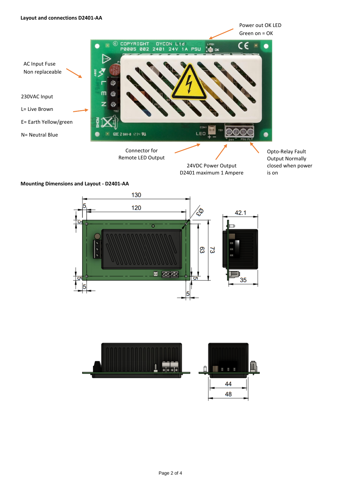

### **Mounting Dimensions and Layout - D2401-AA**



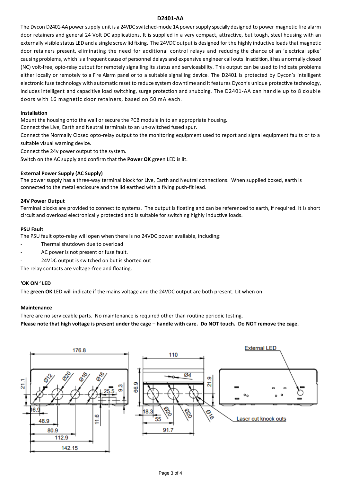#### **D2401-AA**

The Dycon D2401-AA power supply unit is a 24VDC switched-mode 1A power supply specially designed to power magnetic fire alarm door retainers and general 24 Volt DC applications. It is supplied in a very compact, attractive, but tough, steel housing with an externally visible status LED and a single screw lid fixing. The 24VDC output is designed for the highly inductive loads that magnetic door retainers present, eliminating the need for additional control relays and reducing the chance of an 'electrical spike' causing problems, which is a frequent cause of personnel delays and expensive engineer call outs. In addition, it has a normally closed (NC) volt-free, opto-relay output for remotely signalling its status and serviceability. This output can be used to indicate problems either locally or remotely to a Fire Alarm panel or to a suitable signalling device. The D2401 is protected by Dycon's intelligent electronic fuse technology with automatic reset to reduce system downtime and it features Dycon's unique protective technology, includes intelligent and capacitive load switching, surge protection and snubbing. The D2401-AA can handle up to 8 double doors with 16 magnetic door retainers, based on 50 mA each.

#### **Installation**

Mount the housing onto the wall or secure the PCB module in to an appropriate housing.

Connect the Live, Earth and Neutral terminals to an un-switched fused spur.

Connect the Normally Closed opto-relay output to the monitoring equipment used to report and signal equipment faults or to a suitable visual warning device.

Connect the 24v power output to the system.

Switch on the AC supply and confirm that the **Power OK** green LED is lit.

#### **External Power Supply (AC Supply)**

The power supply has a three-way terminal block for Live, Earth and Neutral connections. When supplied boxed, earth is connected to the metal enclosure and the lid earthed with a flying push-fit lead.

#### **24V Power Output**

Terminal blocks are provided to connect to systems. The output is floating and can be referenced to earth, if required. It is short circuit and overload electronically protected and is suitable for switching highly inductive loads.

#### **PSU Fault**

The PSU fault opto-relay will open when there is no 24VDC power available, including:

- Thermal shutdown due to overload
- AC power is not present or fuse fault.
- 24VDC output is switched on but is shorted out

The relay contacts are voltage-free and floating.

#### **'OK ON ' LED**

The **green OK** LED will indicate if the mains voltage and the 24VDC output are both present. Lit when on.

#### **Maintenance**

There are no serviceable parts. No maintenance is required other than routine periodic testing.

**Please note that high voltage is present under the cage – handle with care. Do NOT touch. Do NOT remove the cage.**